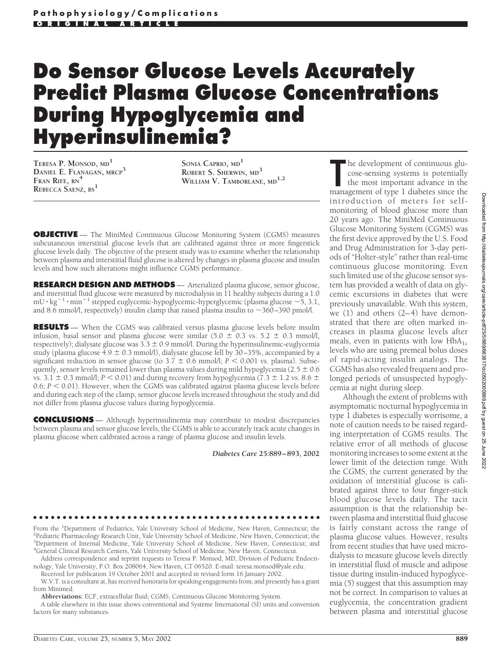# **Do Sensor Glucose Levels Accurately Predict Plasma Glucose Concentrations During Hypoglycemia and Hyperinsulinemia?**

**TERESA P. MONSOD, MD<sup>1</sup> DANIEL E. FLANAGAN, MRCP<sup>3</sup> FRAN RIFE, RN<sup>4</sup> REBECCA SAENZ, BS<sup>1</sup>**

**SONIA CAPRIO, MD<sup>1</sup> ROBERT S. SHERWIN, MD<sup>3</sup> WILLIAM V. TAMBORLANE, MD1,2**

**OBJECTIVE** - The MiniMed Continuous Glucose Monitoring System (CGMS) measures subcutaneous interstitial glucose levels that are calibrated against three or more fingerstick glucose levels daily. The objective of the present study was to examine whether the relationship between plasma and interstitial fluid glucose is altered by changes in plasma glucose and insulin levels and how such alterations might influence CGMS performance.

**RESEARCH DESIGN AND METHODS** — Arterialized plasma glucose, sensor glucose, and interstitial fluid glucose were measured by microdialysis in 11 healthy subjects during a 1.0  $\text{mU} \cdot \text{kg}^{-1} \cdot \text{min}^{-1}$  stepped euglycemic-hypoglycemic-hyperglycemic (plasma glucose  $\sim$  5, 3.1, and 8.6 mmol/l, respectively) insulin clamp that raised plasma insulin to  $\sim$ 360–390 pmol/l.

**RESULTS** — When the CGMS was calibrated versus plasma glucose levels before insulin infusion, basal sensor and plasma glucose were similar  $(5.0 \pm 0.3 \text{ vs. } 5.2 \pm 0.3 \text{ mmol/l})$ , respectively); dialysate glucose was  $3.\overline{3} \pm 0.9$  mmol/l. During the hyperinsulinemic-euglycemia study (plasma glucose 4.9  $\pm$  0.3 mmol/l), dialysate glucose fell by 30–35%, accompanied by a significant reduction in sensor glucose (to  $3.7 \pm 0.6$  mmol/l;  $P < 0.001$  vs. plasma). Subsequently, sensor levels remained lower than plasma values during mild hypoglycemia ( $2.5 \pm 0.6$ ) vs. 3.1  $\pm$  0.3 mmol/l; *P* < 0.01) and during recovery from hypoglycemia (7.3  $\pm$  1.2 vs. 8.6  $\pm$  $0.6; P < 0.01$ ). However, when the CGMS was calibrated against plasma glucose levels before and during each step of the clamp, sensor glucose levels increased throughout the study and did not differ from plasma glucose values during hypoglycemia.

**CONCLUSIONS** — Although hyperinsulinemia may contribute to modest discrepancies between plasma and sensor glucose levels, the CGMS is able to accurately track acute changes in plasma glucose when calibrated across a range of plasma glucose and insulin levels.

*Diabetes Care* **25:889–893, 2002**

●●●●●●●●●●●●●●●●●●●●●●●●●●●●●●●●●●●●●●●●●●●●●●●●●

From the <sup>1</sup>Department of Pediatrics, Yale University School of Medicine, New Haven, Connecticut; the <sup>2</sup>Pediatric Pharmacology Research Unit Vale University School of Medicine, New Haven, Connecticut; the <sup>2</sup>Pediatric Pharmacology Research Unit, Yale University School of Medicine, New Haven, Connecticut; the <sup>3</sup>Department of Internal Medicine, Yale University School of Medicine, New Haven, Connecticut; and 4 General Clinical Research Centers, Yale University School of Medicine, New Haven, Connecticut.

Address correspondence and reprint requests to Teresa P. Monsod, MD, Division of Pediatric Endocrinology, Yale University, P.O. Box 208064, New Haven, CT 06520. E-mail: teresa.monsod@yale.edu.

Received for publication 19 October 2001 and accepted in revised form 16 January 2002. W.V.T. is a consultant at, has received honoraria for speaking engagements from, and presently has a grant

from Minimed.

**Abbreviations:** ECF, extracellular fluid; CGMS, Continuous Glucose Monitoring System.

A table elsewhere in this issue shows conventional and Système International (SI) units and conversion factors for many substances

The development of continuous glucose-sensing systems is potentially the most important advance in the management of type 1 diabetes since the he development of continuous glucose-sensing systems is potentially the most important advance in the introduction of meters for selfmonitoring of blood glucose more than 20 years ago. The MiniMed Continuous Glucose Monitoring System (CGMS) was the first device approved by the U.S. Food and Drug Administration for 3-day periods of "Holter-style" rather than real-time continuous glucose monitoring. Even such limited use of the glucose sensor system has provided a wealth of data on glycemic excursions in diabetes that were previously unavailable. With this system, we (1) and others (2–4) have demonstrated that there are often marked increases in plasma glucose levels after meals, even in patients with low  $HbA_{1c}$ levels who are using premeal bolus doses of rapid-acting insulin analogs. The CGMS has also revealed frequent and prolonged periods of unsuspected hypoglycemia at night during sleep.

Although the extent of problems with asymptomatic nocturnal hypoglycemia in type 1 diabetes is especially worrisome, a note of caution needs to be raised regarding interpretation of CGMS results. The relative error of all methods of glucose monitoring increases to some extent at the lower limit of the detection range. With the CGMS, the current generated by the oxidation of interstitial glucose is calibrated against three to four finger-stick blood glucose levels daily. The tacit assumption is that the relationship between plasma and interstitial fluid glucose is fairly constant across the range of plasma glucose values. However, results from recent studies that have used microdialysis to measure glucose levels directly in interstitial fluid of muscle and adipose tissue during insulin-induced hypoglycemia (5) suggest that this assumption may not be correct. In comparison to values at euglycemia, the concentration gradient between plasma and interstitial glucose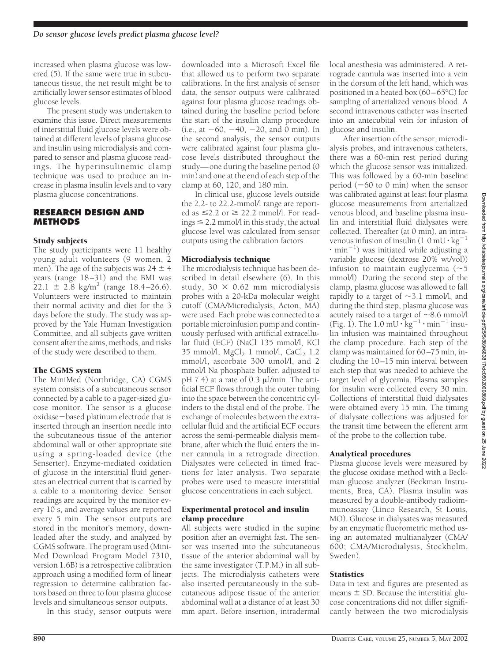increased when plasma glucose was lowered (5). If the same were true in subcutaneous tissue, the net result might be to artificially lower sensor estimates of blood glucose levels.

The present study was undertaken to examine this issue. Direct measurements of interstitial fluid glucose levels were obtained at different levels of plasma glucose and insulin using microdialysis and compared to sensor and plasma glucose readings. The hyperinsulinemic clamp technique was used to produce an increase in plasma insulin levels and to vary plasma glucose concentrations.

# **RESEARCH DESIGN AND METHODS**

### Study subjects

The study participants were 11 healthy young adult volunteers (9 women, 2 men). The age of the subjects was  $24 \pm 4$ years (range 18–31) and the BMI was  $22.1 \pm 2.8$  kg/m<sup>2</sup> (range 18.4–26.6). Volunteers were instructed to maintain their normal activity and diet for the 3 days before the study. The study was approved by the Yale Human Investigation Committee, and all subjects gave written consent after the aims, methods, and risks of the study were described to them.

#### The CGMS system

The MiniMed (Northridge, CA) CGMS system consists of a subcutaneous sensor connected by a cable to a pager-sized glucose monitor. The sensor is a glucose oxidase-based platinum electrode that is inserted through an insertion needle into the subcutaneous tissue of the anterior abdominal wall or other appropriate site using a spring-loaded device (the Senserter). Enzyme-mediated oxidation of glucose in the interstitial fluid generates an electrical current that is carried by a cable to a monitoring device. Sensor readings are acquired by the monitor every 10 s, and average values are reported every 5 min. The sensor outputs are stored in the monitor's memory, downloaded after the study, and analyzed by CGMS software. The program used (Mini-Med Download Program Model 7310, version 1.6B) is a retrospective calibration approach using a modified form of linear regression to determine calibration factors based on three to four plasma glucose levels and simultaneous sensor outputs.

In this study, sensor outputs were

downloaded into a Microsoft Excel file that allowed us to perform two separate calibrations. In the first analysis of sensor data, the sensor outputs were calibrated against four plasma glucose readings obtained during the baseline period before the start of the insulin clamp procedure  $(i.e., at -60, -40, -20, and 0 min)$ . In the second analysis, the sensor outputs were calibrated against four plasma glucose levels distributed throughout the study—one during the baseline period (0 min) and one at the end of each step of the clamp at 60, 120, and 180 min.

In clinical use, glucose levels outside the 2.2- to 22.2-mmol/l range are reported as  $\leq$  2.2 or  $\geq$  22.2 mmol/l. For readings  $\leq$  2.2 mmol/l in this study, the actual glucose level was calculated from sensor outputs using the calibration factors.

### Microdialysis technique

The microdialysis technique has been described in detail elsewhere (6). In this study,  $30 \times 0.62$  mm microdialysis probes with a 20-kDa molecular weight cutoff (CMA/Microdialysis, Acton, MA) were used. Each probe was connected to a portable microinfusion pump and continuously perfused with artificial extracellular fluid (ECF) (NaCl 135 mmol/l, KCl 35 mmol/l,  $MgCl<sub>2</sub> 1 mmol/l$ ,  $CaCl<sub>2</sub> 1.2$ mmol/l, ascorbate 300 umol/l, and 2 mmol/l Na phosphate buffer, adjusted to pH 7.4) at a rate of 0.3  $\mu$ l/min. The artificial ECF flows through the outer tubing into the space between the concentric cylinders to the distal end of the probe. The exchange of molecules between the extracellular fluid and the artificial ECF occurs across the semi-permeable dialysis membrane, after which the fluid enters the inner cannula in a retrograde direction. Dialysates were collected in timed fractions for later analysis. Two separate probes were used to measure interstitial glucose concentrations in each subject.

#### Experimental protocol and insulin clamp procedure

All subjects were studied in the supine position after an overnight fast. The sensor was inserted into the subcutaneous tissue of the anterior abdominal wall by the same investigator (T.P.M.) in all subjects. The microdialysis catheters were also inserted percutaneously in the subcutaneous adipose tissue of the anterior abdominal wall at a distance of at least 30 mm apart. Before insertion, intradermal

local anesthesia was administered. A retrograde cannula was inserted into a vein in the dorsum of the left hand, which was positioned in a heated box (60–65°C) for sampling of arterialized venous blood. A second intravenous catheter was inserted into an antecubital vein for infusion of glucose and insulin.

After insertion of the sensor, microdialysis probes, and intravenous catheters, there was a 60-min rest period during which the glucose sensor was initialized. This was followed by a 60-min baseline period  $(-60 \text{ to } 0 \text{ min})$  when the sensor was calibrated against at least four plasma glucose measurements from arterialized venous blood, and baseline plasma insulin and interstitial fluid dialysates were collected. Thereafter (at 0 min), an intravenous infusion of insulin  $(1.0 \text{ mU} \cdot \text{kg}^{-1})$  $\cdot$  min<sup>-1</sup>) was initiated while adjusting a variable glucose (dextrose 20% wt/vol)) infusion to maintain euglycemia  $(\sim 5)$ mmol/l). During the second step of the clamp, plasma glucose was allowed to fall rapidly to a target of  $\sim$ 3.1 mmol/l, and during the third step, plasma glucose was acutely raised to a target of  ${\sim}8.6$  mmol/l (Fig. 1). The  $1.0 \text{ mU} \cdot \text{kg}^{-1} \cdot \text{min}^{-1}$  insulin infusion was maintained throughout the clamp procedure. Each step of the clamp was maintained for 60–75 min, including the 10–15 min interval between each step that was needed to achieve the target level of glycemia. Plasma samples for insulin were collected every 30 min. Collections of interstitial fluid dialysates were obtained every 15 min. The timing of dialysate collections was adjusted for the transit time between the efferent arm of the probe to the collection tube.

# Analytical procedures

Plasma glucose levels were measured by the glucose oxidase method with a Beckman glucose analyzer (Beckman Instruments, Brea, CA). Plasma insulin was measured by a double-antibody radioimmunoassay (Linco Research, St Louis, MO). Glucose in dialysates was measured by an enzymatic fluorometric method using an automated multianalyzer (CMA/ 600; CMA/Microdialysis, Stockholm, Sweden).

# **Statistics**

Data in text and figures are presented as means  $\pm$  SD. Because the interstitial glucose concentrations did not differ significantly between the two microdialysis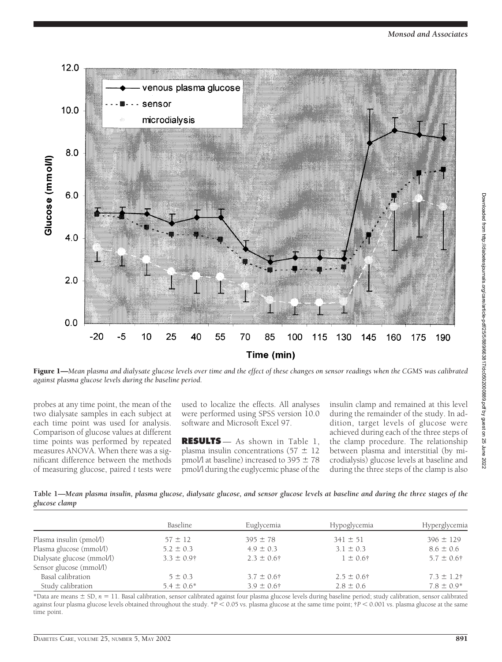

Figure 1—*Mean plasma and dialysate glucose levels over time and the effect of these changes on sensor readings when the CGMS was calibrated against plasma glucose levels during the baseline period.*

probes at any time point, the mean of the two dialysate samples in each subject at each time point was used for analysis. Comparison of glucose values at different time points was performed by repeated measures ANOVA. When there was a significant difference between the methods of measuring glucose, paired *t* tests were

used to localize the effects. All analyses were performed using SPSS version 10.0 software and Microsoft Excel 97.

**RESULTS** — As shown in Table 1, plasma insulin concentrations (57  $\pm$  12 pmol/l at baseline) increased to 395  $\pm$  78 pmol/l during the euglycemic phase of the insulin clamp and remained at this level during the remainder of the study. In addition, target levels of glucose were achieved during each of the three steps of the clamp procedure. The relationship between plasma and interstitial (by microdialysis) glucose levels at baseline and during the three steps of the clamp is also

**Table 1—***Mean plasma insulin, plasma glucose, dialysate glucose, and sensor glucose levels at baseline and during the three stages of the glucose clamp*

|                            | Baseline        | Euglycemia      | Hypoglycemia          | Hyperglycemia   |
|----------------------------|-----------------|-----------------|-----------------------|-----------------|
| Plasma insulin (pmol/l)    | $57 \pm 12$     | $395 \pm 78$    | $341 \pm 51$          | $396 \pm 129$   |
| Plasma glucose (mmol/l)    | $5.2 \pm 0.3$   | $4.9 \pm 0.3$   | $3.1 \pm 0.3$         | $8.6 \pm 0.6$   |
| Dialysate glucose (mmol/l) | $3.3 \pm 0.9$ † | $2.3 \pm 0.6$ † | $1 \pm 0.6^{\dagger}$ | $5.7 \pm 0.6$ † |
| Sensor glucose (mmol/l)    |                 |                 |                       |                 |
| Basal calibration          | $5 \pm 0.3$     | $3.7 \pm 0.6$ † | $2.5 \pm 0.6$ †       | $7.3 \pm 1.2$ † |
| Study calibration          | $5.4 \pm 0.6^*$ | $3.9 \pm 0.6$ † | $2.8 \pm 0.6$         | $7.8 \pm 0.9*$  |

\*Data are means  $\pm$  SD,  $n = 11$ . Basal calibration, sensor calibrated against four plasma glucose levels during baseline period; study calibration, sensor calibrated against four plasma glucose levels obtained throughout the study.  $*P < 0.05$  vs. plasma glucose at the same time point;  $*P < 0.001$  vs. plasma glucose at the same time point.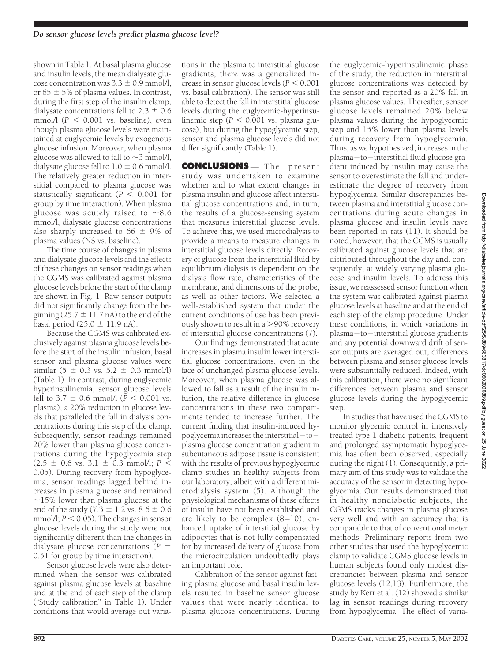shown in Table 1. At basal plasma glucose and insulin levels, the mean dialysate glucose concentration was  $3.3 \pm 0.9$  mmol/l, or 65  $\pm$  5% of plasma values. In contrast, during the first step of the insulin clamp, dialysate concentrations fell to  $2.3 \pm 0.6$ mmol/l ( $P < 0.001$  vs. baseline), even though plasma glucose levels were maintained at euglycemic levels by exogenous glucose infusion. Moreover, when plasma glucose was allowed to fall to  $\sim$ 3 mmol/l, dialysate glucose fell to  $1.0 \pm 0.6$  mmol/l. The relatively greater reduction in interstitial compared to plasma glucose was statistically significant ( $P < 0.001$  for group by time interaction). When plasma glucose was acutely raised to  $\sim$ 8.6 mmol/l, dialysate glucose concentrations also sharply increased to 66  $\pm$  9% of plasma values (NS vs. baseline).

The time course of changes in plasma and dialysate glucose levels and the effects of these changes on sensor readings when the CGMS was calibrated against plasma glucose levels before the start of the clamp are shown in Fig. 1. Raw sensor outputs did not significantly change from the beginning  $(25.7 \pm 11.7 \text{ nA})$  to the end of the basal period  $(25.0 \pm 11.9 \text{ nA})$ .

Because the CGMS was calibrated exclusively against plasma glucose levels before the start of the insulin infusion, basal sensor and plasma glucose values were similar  $(5 \pm 0.3 \text{ vs. } 5.2 \pm 0.3 \text{ mmol/l})$ (Table 1). In contrast, during euglycemic hyperinsulinemia, sensor glucose levels fell to 3.7  $\pm$  0.6 mmol/l (*P* < 0.001 vs. plasma), a 20% reduction in glucose levels that paralleled the fall in dialysis concentrations during this step of the clamp. Subsequently, sensor readings remained 20% lower than plasma glucose concentrations during the hypoglycemia step  $(2.5 \pm 0.6 \text{ vs. } 3.1 \pm 0.3 \text{ mmol/l}; P <$ 0.05). During recovery from hypoglycemia, sensor readings lagged behind increases in plasma glucose and remained  $\sim$ 15% lower than plasma glucose at the end of the study (7.3  $\pm$  1.2 vs. 8.6  $\pm$  0.6 mmol $/$ ;  $P < 0.05$ ). The changes in sensor glucose levels during the study were not significantly different than the changes in dialysate glucose concentrations (*P* 0.51 for group by time interaction).

Sensor glucose levels were also determined when the sensor was calibrated against plasma glucose levels at baseline and at the end of each step of the clamp ("Study calibration" in Table 1). Under conditions that would average out variations in the plasma to interstitial glucose gradients, there was a generalized increase in sensor glucose levels  $(P < 0.001)$ vs. basal calibration). The sensor was still able to detect the fall in interstitial glucose levels during the euglycemic-hyperinsulinemic step ( $P < 0.001$  vs. plasma glucose), but during the hypoglycemic step, sensor and plasma glucose levels did not differ significantly (Table 1).

**CONCLUSIONS** — The present study was undertaken to examine whether and to what extent changes in plasma insulin and glucose affect interstitial glucose concentrations and, in turn, the results of a glucose-sensing system that measures interstitial glucose levels. To achieve this, we used microdialysis to provide a means to measure changes in interstitial glucose levels directly. Recovery of glucose from the interstitial fluid by equilibrium dialysis is dependent on the dialysis flow rate, characteristics of the membrane, and dimensions of the probe, as well as other factors. We selected a well-established system that under the current conditions of use has been previously shown to result in a  $>90\%$  recovery of interstitial glucose concentrations (7).

Our findings demonstrated that acute increases in plasma insulin lower interstitial glucose concentrations, even in the face of unchanged plasma glucose levels. Moreover, when plasma glucose was allowed to fall as a result of the insulin infusion, the relative difference in glucose concentrations in these two compartments tended to increase further. The current finding that insulin-induced hypoglycemia increases the interstitial $-to$ plasma glucose concentration gradient in subcutaneous adipose tissue is consistent with the results of previous hypoglycemic clamp studies in healthy subjects from our laboratory, albeit with a different microdialysis system (5). Although the physiological mechanisms of these effects of insulin have not been established and are likely to be complex  $(8-10)$ , enhanced uptake of interstitial glucose by adipocytes that is not fully compensated for by increased delivery of glucose from the microcirculation undoubtedly plays an important role.

Calibration of the sensor against fasting plasma glucose and basal insulin levels resulted in baseline sensor glucose values that were nearly identical to plasma glucose concentrations. During

the euglycemic-hyperinsulinemic phase of the study, the reduction in interstitial glucose concentrations was detected by the sensor and reported as a 20% fall in plasma glucose values. Thereafter, sensor glucose levels remained 20% below plasma values during the hypoglycemic step and 15% lower than plasma levels during recovery from hypoglycemia. Thus, as we hypothesized, increases in the plasma-to-interstitial fluid glucose gradient induced by insulin may cause the sensor to overestimate the fall and underestimate the degree of recovery from hypoglycemia. Similar discrepancies between plasma and interstitial glucose concentrations during acute changes in plasma glucose and insulin levels have been reported in rats (11). It should be noted, however, that the CGMS is usually calibrated against glucose levels that are distributed throughout the day and, consequently, at widely varying plasma glucose and insulin levels. To address this issue, we reassessed sensor function when the system was calibrated against plasma glucose levels at baseline and at the end of each step of the clamp procedure. Under these conditions, in which variations in plasma-to-interstitial glucose gradients and any potential downward drift of sensor outputs are averaged out, differences between plasma and sensor glucose levels were substantially reduced. Indeed, with this calibration, there were no significant differences between plasma and sensor glucose levels during the hypoglycemic step.

In studies that have used the CGMS to monitor glycemic control in intensively treated type 1 diabetic patients, frequent and prolonged asymptomatic hypoglycemia has often been observed, especially during the night (1). Consequently, a primary aim of this study was to validate the accuracy of the sensor in detecting hypoglycemia. Our results demonstrated that in healthy nondiabetic subjects, the CGMS tracks changes in plasma glucose very well and with an accuracy that is comparable to that of conventional meter methods. Preliminary reports from two other studies that used the hypoglycemic clamp to validate CGMS glucose levels in human subjects found only modest discrepancies between plasma and sensor glucose levels (12,13). Furthermore, the study by Kerr et al. (12) showed a similar lag in sensor readings during recovery from hypoglycemia. The effect of varia